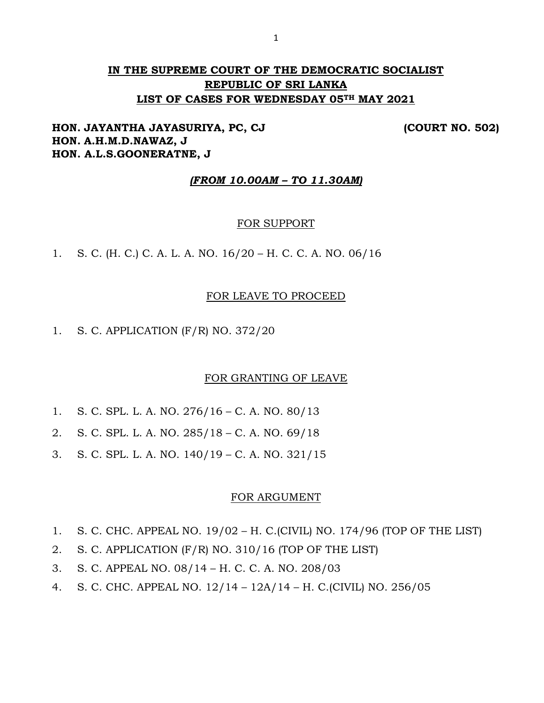# **IN THE SUPREME COURT OF THE DEMOCRATIC SOCIALIST REPUBLIC OF SRI LANKA LIST OF CASES FOR WEDNESDAY 05TH MAY 2021**

## **HON. JAYANTHA JAYASURIYA, PC, CJ (COURT NO. 502) HON. A.H.M.D.NAWAZ, J HON. A.L.S.GOONERATNE, J**

## *(FROM 10.00AM – TO 11.30AM)*

#### FOR SUPPORT

1. S. C. (H. C.) C. A. L. A. NO. 16/20 – H. C. C. A. NO. 06/16

#### FOR LEAVE TO PROCEED

1. S. C. APPLICATION (F/R) NO. 372/20

#### FOR GRANTING OF LEAVE

- 1. S. C. SPL. L. A. NO. 276/16 C. A. NO. 80/13
- 2. S. C. SPL. L. A. NO. 285/18 C. A. NO. 69/18
- 3. S. C. SPL. L. A. NO. 140/19 C. A. NO. 321/15

#### FOR ARGUMENT

- 1. S. C. CHC. APPEAL NO. 19/02 H. C.(CIVIL) NO. 174/96 (TOP OF THE LIST)
- 2. S. C. APPLICATION (F/R) NO. 310/16 (TOP OF THE LIST)
- 3. S. C. APPEAL NO. 08/14 H. C. C. A. NO. 208/03
- 4. S. C. CHC. APPEAL NO. 12/14 12A/14 H. C.(CIVIL) NO. 256/05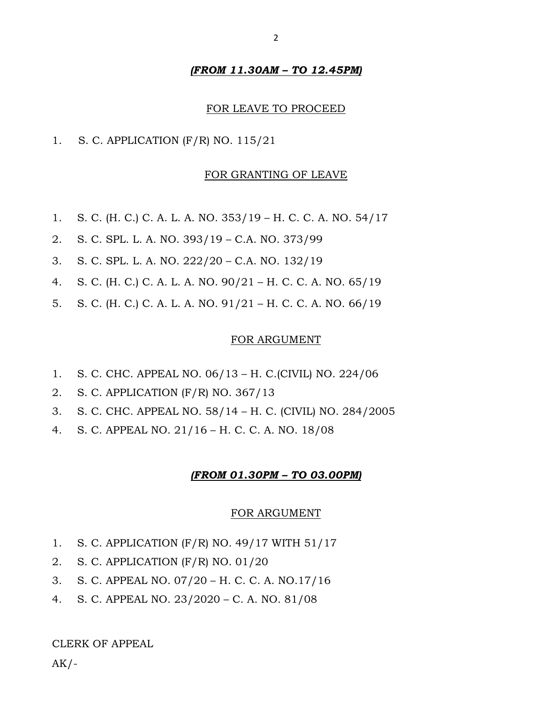#### *(FROM 11.30AM – TO 12.45PM)*

#### FOR LEAVE TO PROCEED

1. S. C. APPLICATION (F/R) NO. 115/21

#### FOR GRANTING OF LEAVE

- 1. S. C. (H. C.) C. A. L. A. NO. 353/19 H. C. C. A. NO. 54/17
- 2. S. C. SPL. L. A. NO. 393/19 C.A. NO. 373/99
- 3. S. C. SPL. L. A. NO. 222/20 C.A. NO. 132/19
- 4. S. C. (H. C.) C. A. L. A. NO. 90/21 H. C. C. A. NO. 65/19
- 5. S. C. (H. C.) C. A. L. A. NO. 91/21 H. C. C. A. NO. 66/19

#### FOR ARGUMENT

- 1. S. C. CHC. APPEAL NO. 06/13 H. C.(CIVIL) NO. 224/06
- 2. S. C. APPLICATION (F/R) NO. 367/13
- 3. S. C. CHC. APPEAL NO. 58/14 H. C. (CIVIL) NO. 284/2005
- 4. S. C. APPEAL NO. 21/16 H. C. C. A. NO. 18/08

#### *(FROM 01.30PM – TO 03.00PM)*

#### FOR ARGUMENT

- 1. S. C. APPLICATION (F/R) NO. 49/17 WITH 51/17
- 2. S. C. APPLICATION (F/R) NO. 01/20
- 3. S. C. APPEAL NO. 07/20 H. C. C. A. NO.17/16
- 4. S. C. APPEAL NO. 23/2020 C. A. NO. 81/08

#### CLERK OF APPEAL

 $AK/-$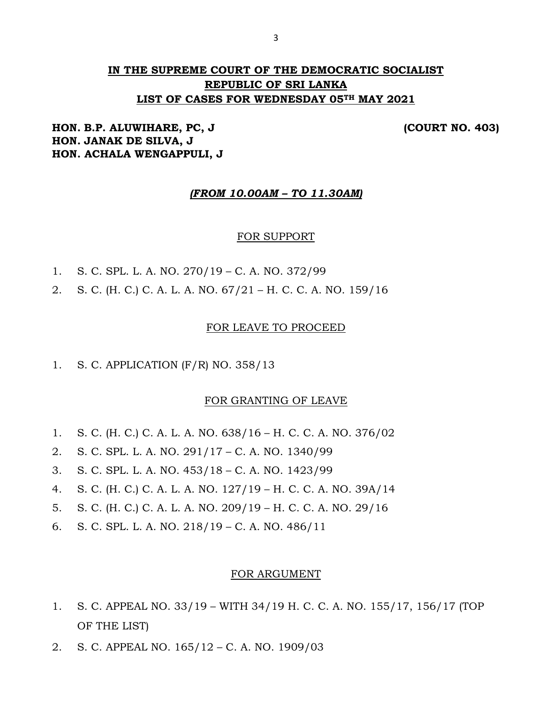# **IN THE SUPREME COURT OF THE DEMOCRATIC SOCIALIST REPUBLIC OF SRI LANKA LIST OF CASES FOR WEDNESDAY 05TH MAY 2021**

## **HON. B.P. ALUWIHARE, PC, J (COURT NO. 403) HON. JANAK DE SILVA, J HON. ACHALA WENGAPPULI, J**

#### *(FROM 10.00AM – TO 11.30AM)*

#### FOR SUPPORT

- 1. S. C. SPL. L. A. NO. 270/19 C. A. NO. 372/99
- 2. S. C. (H. C.) C. A. L. A. NO. 67/21 H. C. C. A. NO. 159/16

#### FOR LEAVE TO PROCEED

1. S. C. APPLICATION (F/R) NO. 358/13

#### FOR GRANTING OF LEAVE

- 1. S. C. (H. C.) C. A. L. A. NO. 638/16 H. C. C. A. NO. 376/02
- 2. S. C. SPL. L. A. NO. 291/17 C. A. NO. 1340/99
- 3. S. C. SPL. L. A. NO. 453/18 C. A. NO. 1423/99
- 4. S. C. (H. C.) C. A. L. A. NO. 127/19 H. C. C. A. NO. 39A/14
- 5. S. C. (H. C.) C. A. L. A. NO. 209/19 H. C. C. A. NO. 29/16
- 6. S. C. SPL. L. A. NO. 218/19 C. A. NO. 486/11

#### FOR ARGUMENT

- 1. S. C. APPEAL NO. 33/19 WITH 34/19 H. C. C. A. NO. 155/17, 156/17 (TOP OF THE LIST)
- 2. S. C. APPEAL NO. 165/12 C. A. NO. 1909/03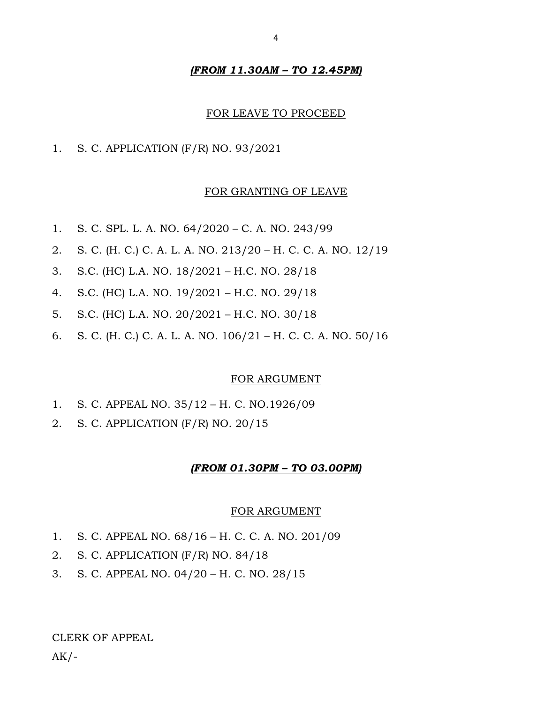#### *(FROM 11.30AM – TO 12.45PM)*

#### FOR LEAVE TO PROCEED

1. S. C. APPLICATION (F/R) NO. 93/2021

#### FOR GRANTING OF LEAVE

- 1. S. C. SPL. L. A. NO. 64/2020 C. A. NO. 243/99
- 2. S. C. (H. C.) C. A. L. A. NO. 213/20 H. C. C. A. NO. 12/19
- 3. S.C. (HC) L.A. NO. 18/2021 H.C. NO. 28/18
- 4. S.C. (HC) L.A. NO. 19/2021 H.C. NO. 29/18
- 5. S.C. (HC) L.A. NO. 20/2021 H.C. NO. 30/18
- 6. S. C. (H. C.) C. A. L. A. NO. 106/21 H. C. C. A. NO. 50/16

#### FOR ARGUMENT

- 1. S. C. APPEAL NO. 35/12 H. C. NO.1926/09
- 2. S. C. APPLICATION (F/R) NO. 20/15

#### *(FROM 01.30PM – TO 03.00PM)*

#### FOR ARGUMENT

- 1. S. C. APPEAL NO. 68/16 H. C. C. A. NO. 201/09
- 2. S. C. APPLICATION (F/R) NO. 84/18
- 3. S. C. APPEAL NO. 04/20 H. C. NO. 28/15

CLERK OF APPEAL

 $AK/-$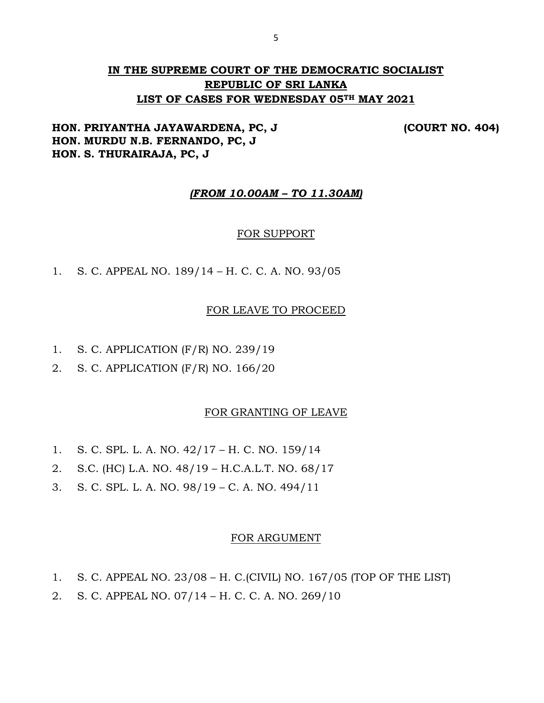# **IN THE SUPREME COURT OF THE DEMOCRATIC SOCIALIST REPUBLIC OF SRI LANKA LIST OF CASES FOR WEDNESDAY 05TH MAY 2021**

## **HON. PRIYANTHA JAYAWARDENA, PC, J (COURT NO. 404) HON. MURDU N.B. FERNANDO, PC, J HON. S. THURAIRAJA, PC, J**

## *(FROM 10.00AM – TO 11.30AM)*

## FOR SUPPORT

1. S. C. APPEAL NO. 189/14 – H. C. C. A. NO. 93/05

#### FOR LEAVE TO PROCEED

- 1. S. C. APPLICATION (F/R) NO. 239/19
- 2. S. C. APPLICATION (F/R) NO. 166/20

#### FOR GRANTING OF LEAVE

- 1. S. C. SPL. L. A. NO. 42/17 H. C. NO. 159/14
- 2. S.C. (HC) L.A. NO. 48/19 H.C.A.L.T. NO. 68/17
- 3. S. C. SPL. L. A. NO. 98/19 C. A. NO. 494/11

#### FOR ARGUMENT

- 1. S. C. APPEAL NO. 23/08 H. C.(CIVIL) NO. 167/05 (TOP OF THE LIST)
- 2. S. C. APPEAL NO. 07/14 H. C. C. A. NO. 269/10